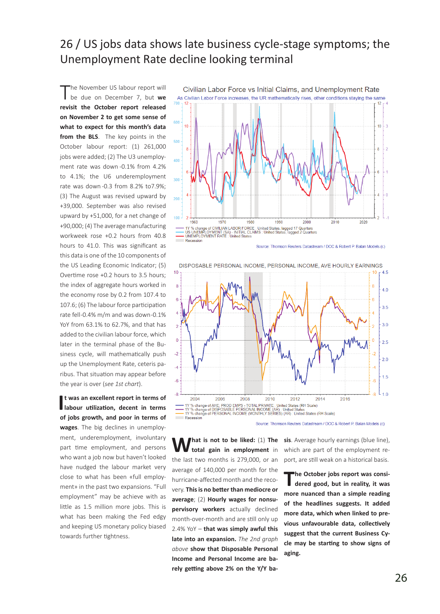## 26 / US jobs data shows late business cycle-stage symptoms; the Unemployment Rate decline looking terminal

'he November US labour report will be due on December 7, but **we revisit the October report released on November 2 to get some sense of what to expect for this month's data from the BLS**. The key points in the October labour report: (1) 261,000 jobs were added; (2) The U3 unemployment rate was down -0.1% from 4.2% to 4.1%; the U6 underemployment rate was down -0.3 from 8.2% to7.9%; (3) The August was revised upward by +39,000. September was also revised upward by +51,000, for a net change of +90,000; (4) The average manufacturing workweek rose +0.2 hours from 40.8 hours to 41.0. This was significant as this data is one of the 10 components of the US Leading Economic Indicator; (5) Overtime rose +0.2 hours to 3.5 hours; the index of aggregate hours worked in the economy rose by 0.2 from 107.4 to 107.6; (6) The labour force participation rate fell -0.4% m/m and was down -0.1% YoY from 63.1% to 62.7%, and that has added to the civilian labour force, which later in the terminal phase of the Business cycle, will mathematically push up the Unemployment Rate, ceteris paribus. That situation may appear before the year is over (*see 1st chart*).

**I** t was an excellent report in terms of labour utilization, decent in terms **t was an excellent report in terms of of jobs growth, and poor in terms of wages**. The big declines in unemployment, underemployment, involuntary part time employment, and persons who want a job now but haven't looked have nudged the labour market very close to what has been «full employment» in the past two expansions. "Full employment" may be achieve with as little as 1.5 million more jobs. This is what has been making the Fed edgy and keeping US monetary policy biased towards further tightness.



DISPOSABLE PERSONAL INCOME, PERSONAL INCOME, AVE HOURLY EARNINGS



Source: Thomson Reuters Datastream / DCC & Robert P. Balan Models (c)

**W** hat is not to be liked: (1) The total gain in employment in the last two months is 279,000, or an average of 140,000 per month for the hurricane-affected month and the recovery. **This is no better than mediocre or average**; (2) **Hourly wages for nonsupervisory workers** actually declined month-over-month and are still only up 2.4% YoY – **that was simply awful this late into an expansion.** *The 2nd graph above* **show that Disposable Personal Income and Personal Income are barely getting above 2% on the Y/Y ba-** **sis**. Average hourly earnings (blue line), which are part of the employment report, are still weak on a historical basis.

**The October jobs report was considered good, but in reality, it was more nuanced than a simple reading of the headlines suggests. It added more data, which when linked to previous unfavourable data, collectively suggest that the current Business Cycle may be starting to show signs of aging.**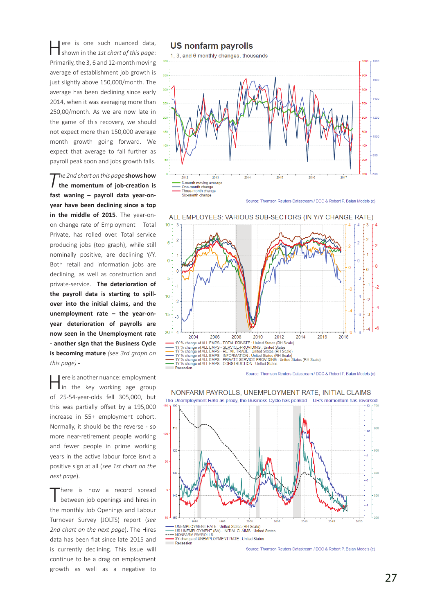Here is one such nuanced data, shown in the *1st chart of this page*: Primarily, the 3, 6 and 12-month moving average of establishment job growth is just slightly above 150,000/month. The average has been declining since early 2014, when it was averaging more than 250,00/month. As we are now late in the game of this recovery, we should not expect more than 150,000 average month growth going forward. We expect that average to fall further as payroll peak soon and jobs growth falls.

*The 2nd chart on this page* **shows how the momentum of job-creation is fast waning – payroll data year-onyear have been declining since a top in the middle of 2015**. The year-onon change rate of Employment – Total Private, has rolled over. Total service producing jobs (top graph), while still nominally positive, are declining Y/Y. Both retail and information jobs are declining, as well as construction and private-service. **The deterioration of the payroll data is starting to spillover into the initial claims, and the unemployment rate – the year-onyear deterioration of payrolls are now seen in the Unemployment rate - another sign that the Business Cycle is becoming mature** *(see 3rd graph on this page)* **-**

Here is another nuance: employment in the key working age group of 25-54-year-olds fell 305,000, but this was partially offset by a 195,000 increase in 55+ employment cohort. Normally, it should be the reverse - so more near-retirement people working and fewer people in prime working years in the active labour force isn›t a positive sign at all (*see 1st chart on the next page*).

There is now a record spread<br>
between job openings and hires in the monthly Job Openings and Labour Turnover Survey (JOLTS) report (*see 2nd chart on the next page*). The Hires data has been flat since late 2015 and is currently declining. This issue will continue to be a drag on employment growth as well as a negative to

**US nonfarm payrolls** 

1, 3, and 6 monthly changes, thousands







NONFARM PAYROLLS, UNEMPLOYMENT RATE, INITIAL CLAIMS